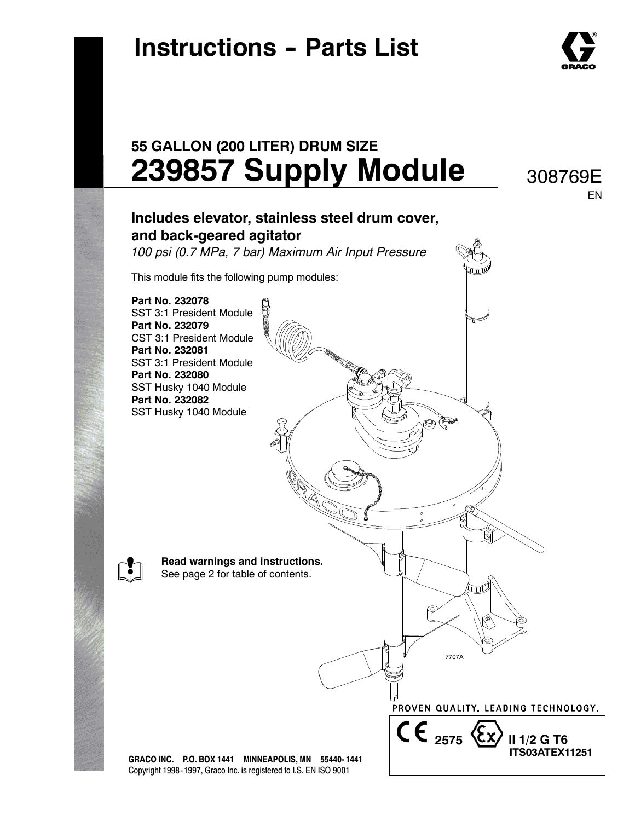## **Instructions - Parts List**



308769E EN

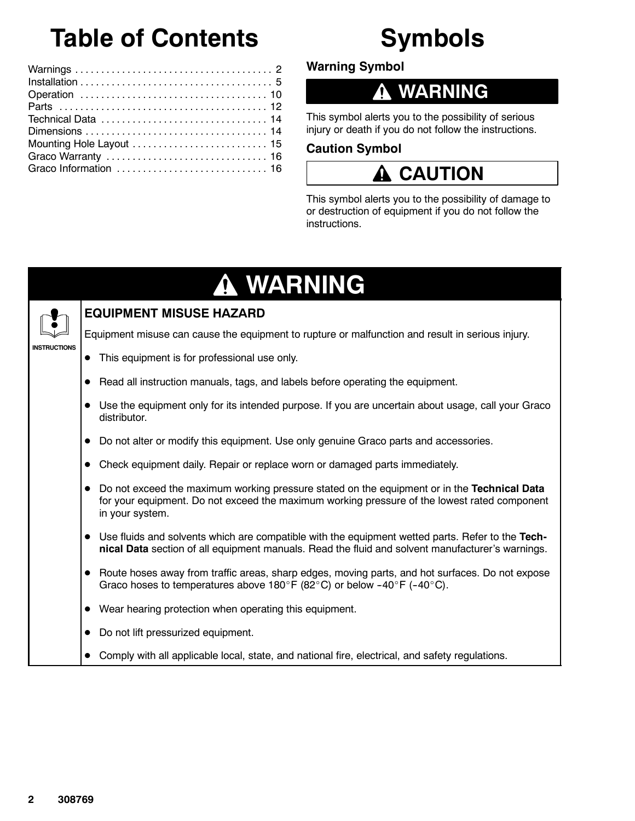## **Table of Contents**

## **Symbols**

**Warning Symbol**

### **WARNING**

This symbol alerts you to the possibility of serious injury or death if you do not follow the instructions.

#### **Caution Symbol**

### **CAUTION**

This symbol alerts you to the possibility of damage to or destruction of equipment if you do not follow the instructions.

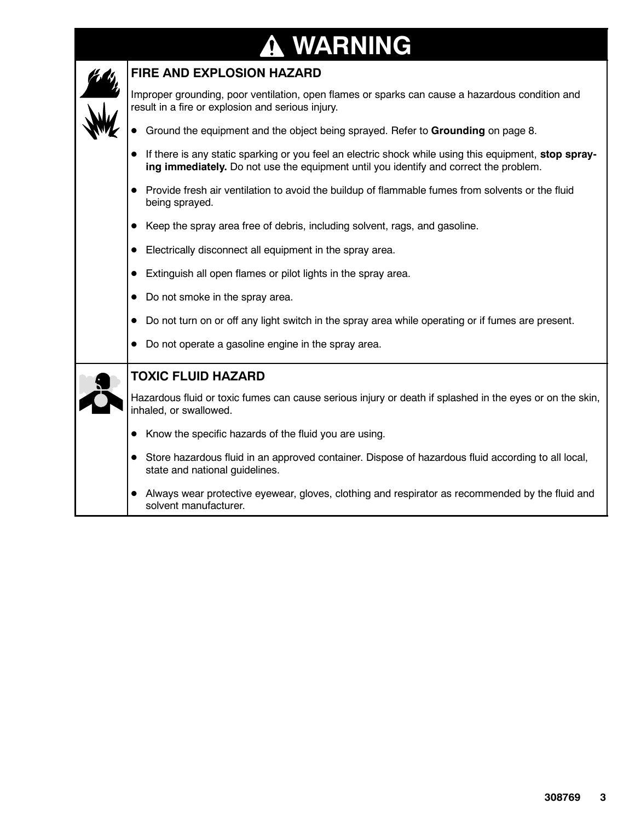# **A WARNING**

|                                                                                                   | FIRE AND EXPLOSION HAZARD                                                                                                                                                                      |
|---------------------------------------------------------------------------------------------------|------------------------------------------------------------------------------------------------------------------------------------------------------------------------------------------------|
|                                                                                                   | Improper grounding, poor ventilation, open flames or sparks can cause a hazardous condition and<br>result in a fire or explosion and serious injury.                                           |
|                                                                                                   | Ground the equipment and the object being sprayed. Refer to Grounding on page 8.                                                                                                               |
|                                                                                                   | If there is any static sparking or you feel an electric shock while using this equipment, stop spray-<br>ing immediately. Do not use the equipment until you identify and correct the problem. |
|                                                                                                   | Provide fresh air ventilation to avoid the buildup of flammable fumes from solvents or the fluid<br>being sprayed.                                                                             |
|                                                                                                   | Keep the spray area free of debris, including solvent, rags, and gasoline.                                                                                                                     |
|                                                                                                   | Electrically disconnect all equipment in the spray area.                                                                                                                                       |
|                                                                                                   | Extinguish all open flames or pilot lights in the spray area.                                                                                                                                  |
|                                                                                                   | Do not smoke in the spray area.<br>$\bullet$                                                                                                                                                   |
| Do not turn on or off any light switch in the spray area while operating or if fumes are present. |                                                                                                                                                                                                |
|                                                                                                   | Do not operate a gasoline engine in the spray area.                                                                                                                                            |
|                                                                                                   | <b>TOXIC FLUID HAZARD</b>                                                                                                                                                                      |
|                                                                                                   | Hazardous fluid or toxic fumes can cause serious injury or death if splashed in the eyes or on the skin,<br>inhaled, or swallowed.                                                             |
|                                                                                                   | Know the specific hazards of the fluid you are using.                                                                                                                                          |
|                                                                                                   | Store hazardous fluid in an approved container. Dispose of hazardous fluid according to all local,<br>state and national guidelines.                                                           |
|                                                                                                   | Always wear protective eyewear, gloves, clothing and respirator as recommended by the fluid and<br>solvent manufacturer.                                                                       |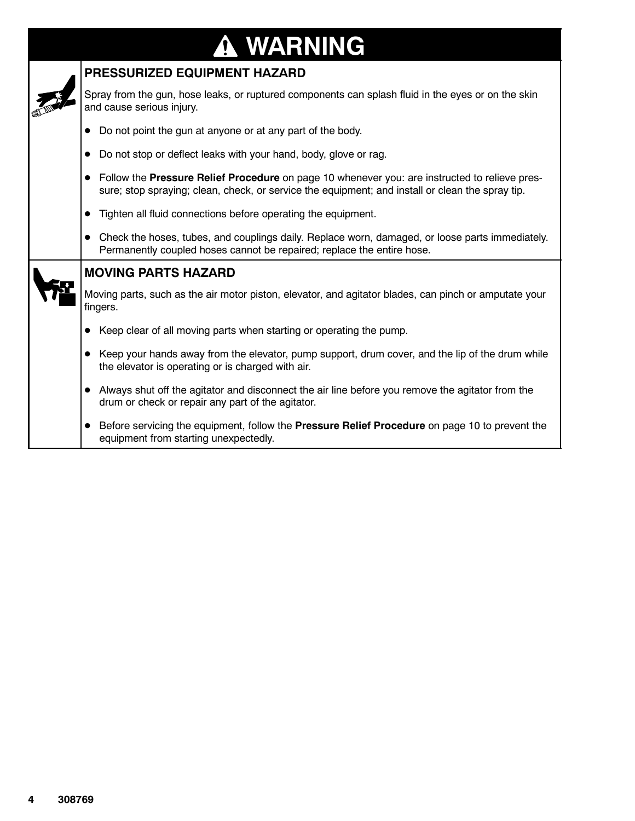# **WARNING**

| PRESSURIZED EQUIPMENT HAZARD                                                                                                                                                                      |
|---------------------------------------------------------------------------------------------------------------------------------------------------------------------------------------------------|
| Spray from the gun, hose leaks, or ruptured components can splash fluid in the eyes or on the skin<br>and cause serious injury.                                                                   |
| Do not point the gun at anyone or at any part of the body.                                                                                                                                        |
| Do not stop or deflect leaks with your hand, body, glove or rag.<br>$\bullet$                                                                                                                     |
| Follow the Pressure Relief Procedure on page 10 whenever you: are instructed to relieve pres-<br>sure; stop spraying; clean, check, or service the equipment; and install or clean the spray tip. |
| Tighten all fluid connections before operating the equipment.                                                                                                                                     |
| Check the hoses, tubes, and couplings daily. Replace worn, damaged, or loose parts immediately.<br>$\bullet$<br>Permanently coupled hoses cannot be repaired; replace the entire hose.            |
| <b>MOVING PARTS HAZARD</b>                                                                                                                                                                        |
| Moving parts, such as the air motor piston, elevator, and agitator blades, can pinch or amputate your<br>fingers.                                                                                 |
| Keep clear of all moving parts when starting or operating the pump.<br>$\bullet$                                                                                                                  |
| Keep your hands away from the elevator, pump support, drum cover, and the lip of the drum while<br>the elevator is operating or is charged with air.                                              |
| Always shut off the agitator and disconnect the air line before you remove the agitator from the<br>drum or check or repair any part of the agitator.                                             |
| Before servicing the equipment, follow the Pressure Relief Procedure on page 10 to prevent the<br>equipment from starting unexpectedly.                                                           |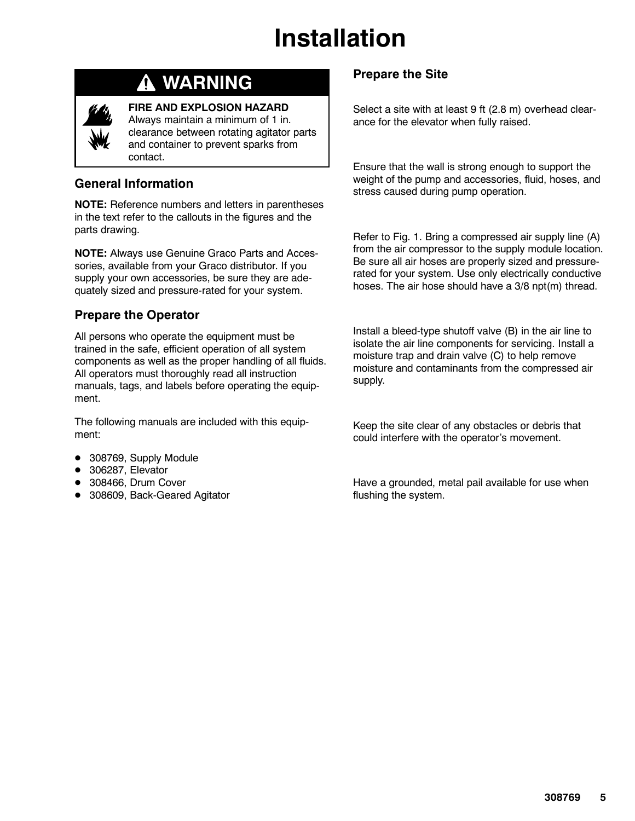

## **WARNING**

**FIRE AND EXPLOSION HAZARD**

Always maintain a minimum of 1 in. clearance between rotating agitator parts and container to prevent sparks from contact.

#### **General Information**

**NOTE:** Reference numbers and letters in parentheses in the text refer to the callouts in the figures and the parts drawing.

**NOTE:** Always use Genuine Graco Parts and Accessories, available from your Graco distributor. If you supply your own accessories, be sure they are adequately sized and pressure-rated for your system.

### **Prepare the Operator**

All persons who operate the equipment must be trained in the safe, efficient operation of all system components as well as the proper handling of all fluids. All operators must thoroughly read all instruction manuals, tags, and labels before operating the equipment.

The following manuals are included with this equipment:

- 308769, Supply Module
- 306287, Elevator
- 308466, Drum Cover
- 308609, Back-Geared Agitator

### **Prepare the Site**

Select a site with at least 9 ft (2.8 m) overhead clearance for the elevator when fully raised.

Ensure that the wall is strong enough to support the weight of the pump and accessories, fluid, hoses, and stress caused during pump operation.

Refer to Fig. 1. Bring a compressed air supply line (A) from the air compressor to the supply module location. Be sure all air hoses are properly sized and pressurerated for your system. Use only electrically conductive hoses. The air hose should have a 3/8 npt(m) thread.

Install a bleed-type shutoff valve (B) in the air line to isolate the air line components for servicing. Install a moisture trap and drain valve (C) to help remove moisture and contaminants from the compressed air supply.

Keep the site clear of any obstacles or debris that could interfere with the operator's movement.

Have a grounded, metal pail available for use when flushing the system.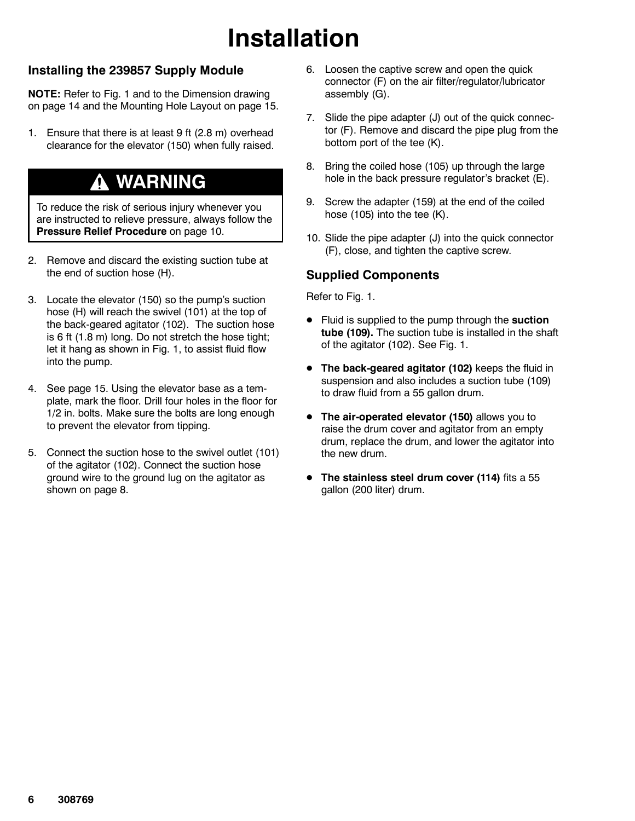#### **Installing the 239857 Supply Module**

**NOTE:** Refer to Fig. 1 and to the Dimension drawing on page 14 and the Mounting Hole Layout on page 15.

1. Ensure that there is at least 9 ft (2.8 m) overhead clearance for the elevator (150) when fully raised.

### **WARNING**

To reduce the risk of serious injury whenever you are instructed to relieve pressure, always follow the **Pressure Relief Procedure** on page 10.

- 2. Remove and discard the existing suction tube at the end of suction hose (H).
- 3. Locate the elevator (150) so the pump's suction hose (H) will reach the swivel (101) at the top of the back-geared agitator (102). The suction hose is 6 ft (1.8 m) long. Do not stretch the hose tight; let it hang as shown in Fig. 1, to assist fluid flow into the pump.
- 4. See page 15. Using the elevator base as a template, mark the floor. Drill four holes in the floor for 1/2 in. bolts. Make sure the bolts are long enough to prevent the elevator from tipping.
- 5. Connect the suction hose to the swivel outlet (101) of the agitator (102). Connect the suction hose ground wire to the ground lug on the agitator as shown on page 8.
- 6. Loosen the captive screw and open the quick connector (F) on the air filter/regulator/lubricator assembly (G).
- 7. Slide the pipe adapter (J) out of the quick connector (F). Remove and discard the pipe plug from the bottom port of the tee (K).
- 8. Bring the coiled hose (105) up through the large hole in the back pressure regulator's bracket (E).
- 9. Screw the adapter (159) at the end of the coiled hose (105) into the tee (K).
- 10. Slide the pipe adapter (J) into the quick connector (F), close, and tighten the captive screw.

#### **Supplied Components**

Refer to Fig. 1.

- **•** Fluid is supplied to the pump through the **suction tube (109).** The suction tube is installed in the shaft of the agitator (102). See Fig. 1.
- **The back-geared agitator (102)** keeps the fluid in suspension and also includes a suction tube (109) to draw fluid from a 55 gallon drum.
- **•** The air-operated elevator (150) allows you to raise the drum cover and agitator from an empty drum, replace the drum, and lower the agitator into the new drum.
- **The stainless steel drum cover (114)** fits a 55 gallon (200 liter) drum.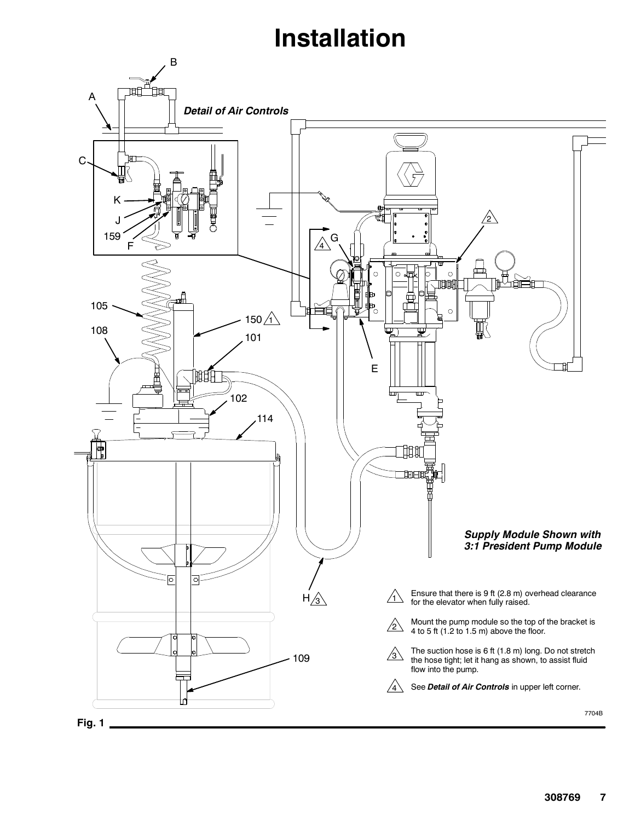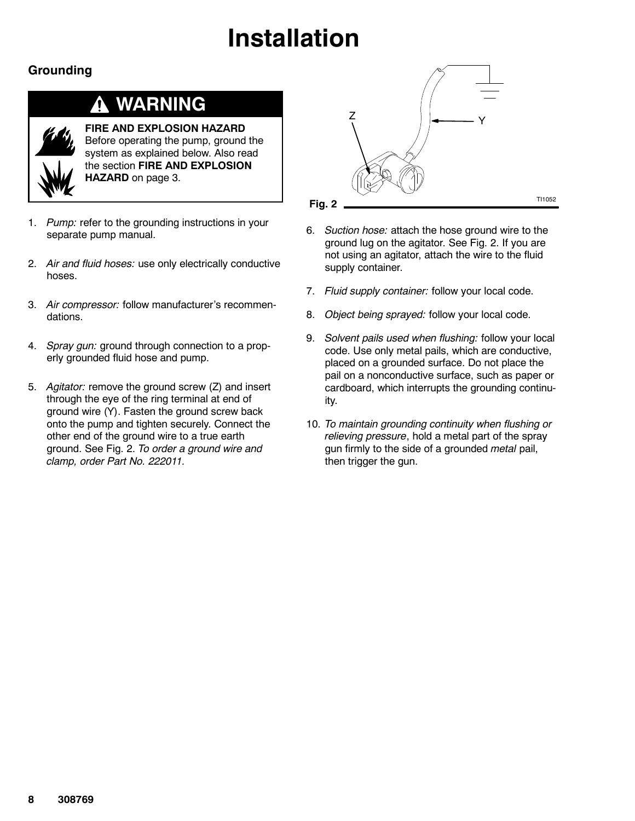### **Grounding**

#### **WARNING** 4

**FIRE AND EXPLOSION HAZARD** Before operating the pump, ground the system as explained below. Also read the section **FIRE AND EXPLOSION HAZARD** on page 3.

- 1. *Pump:* refer to the grounding instructions in your separate pump manual.
- 2. *Air and fluid hoses:* use only electrically conductive hoses.
- 3. *Air compressor:* follow manufacturer's recommendations.
- 4. *Spray gun:* ground through connection to a properly grounded fluid hose and pump.
- 5. *Agitator:* remove the ground screw (Z) and insert through the eye of the ring terminal at end of ground wire (Y). Fasten the ground screw back onto the pump and tighten securely. Connect the other end of the ground wire to a true earth ground. See Fig. 2. *To order a ground wire and clamp, order Part No. 222011.*



- 6. *Suction hose:* attach the hose ground wire to the ground lug on the agitator. See Fig. 2. If you are not using an agitator, attach the wire to the fluid supply container.
- 7. *Fluid supply container:* follow your local code.
- 8. *Object being sprayed:* follow your local code.
- 9. *Solvent pails used when flushing:* follow your local code. Use only metal pails, which are conductive, placed on a grounded surface. Do not place the pail on a nonconductive surface, such as paper or cardboard, which interrupts the grounding continuity.
- 10. *To maintain grounding continuity when flushing or relieving pressure*, hold a metal part of the spray gun firmly to the side of a grounded *metal* pail, then trigger the gun.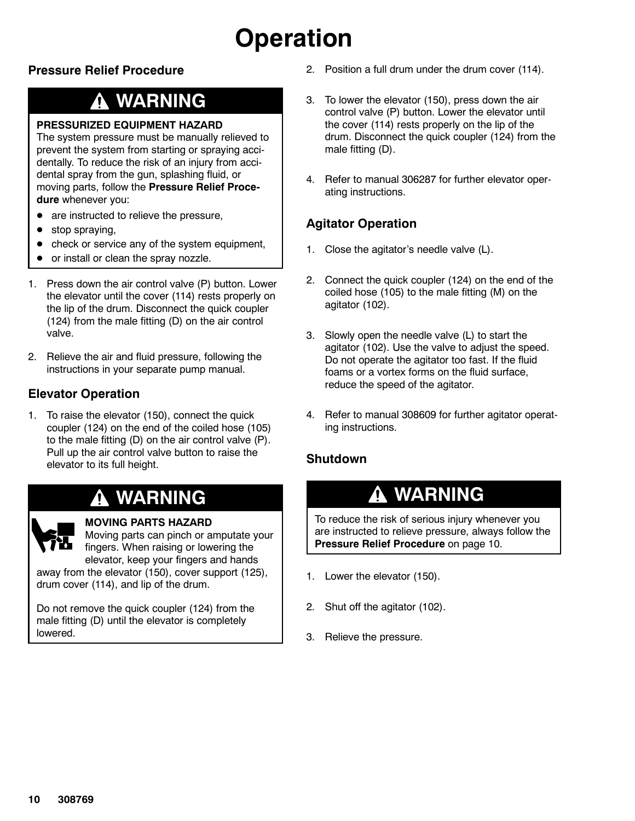# **Operation**

### **Pressure Relief Procedure**

### **WARNING**

#### **PRESSURIZED EQUIPMENT HAZARD**

The system pressure must be manually relieved to prevent the system from starting or spraying accidentally. To reduce the risk of an injury from accidental spray from the gun, splashing fluid, or moving parts, follow the **Pressure Relief Procedure** whenever you:

- are instructed to relieve the pressure,
- stop spraying,
- check or service any of the system equipment,
- or install or clean the spray nozzle.
- 1. Press down the air control valve (P) button. Lower the elevator until the cover (114) rests properly on the lip of the drum. Disconnect the quick coupler (124) from the male fitting (D) on the air control valve.
- 2. Relieve the air and fluid pressure, following the instructions in your separate pump manual.

### **Elevator Operation**

1. To raise the elevator (150), connect the quick coupler (124) on the end of the coiled hose (105) to the male fitting (D) on the air control valve (P). Pull up the air control valve button to raise the elevator to its full height.

### **WARNING**



#### **MOVING PARTS HAZARD**

Moving parts can pinch or amputate your fingers. When raising or lowering the elevator, keep your fingers and hands

away from the elevator (150), cover support (125), drum cover (114), and lip of the drum.

Do not remove the quick coupler (124) from the male fitting (D) until the elevator is completely lowered.

- 2. Position a full drum under the drum cover (114).
- 3. To lower the elevator (150), press down the air control valve (P) button. Lower the elevator until the cover (114) rests properly on the lip of the drum. Disconnect the quick coupler (124) from the male fitting (D).
- 4. Refer to manual 306287 for further elevator operating instructions.

### **Agitator Operation**

- 1. Close the agitator's needle valve (L).
- 2. Connect the quick coupler (124) on the end of the coiled hose (105) to the male fitting (M) on the agitator (102).
- 3. Slowly open the needle valve (L) to start the agitator (102). Use the valve to adjust the speed. Do not operate the agitator too fast. If the fluid foams or a vortex forms on the fluid surface, reduce the speed of the agitator.
- 4. Refer to manual 308609 for further agitator operating instructions.

### **Shutdown**

### **WARNING**

To reduce the risk of serious injury whenever you are instructed to relieve pressure, always follow the **Pressure Relief Procedure** on page 10.

- 1. Lower the elevator (150).
- 2. Shut off the agitator (102).
- 3. Relieve the pressure.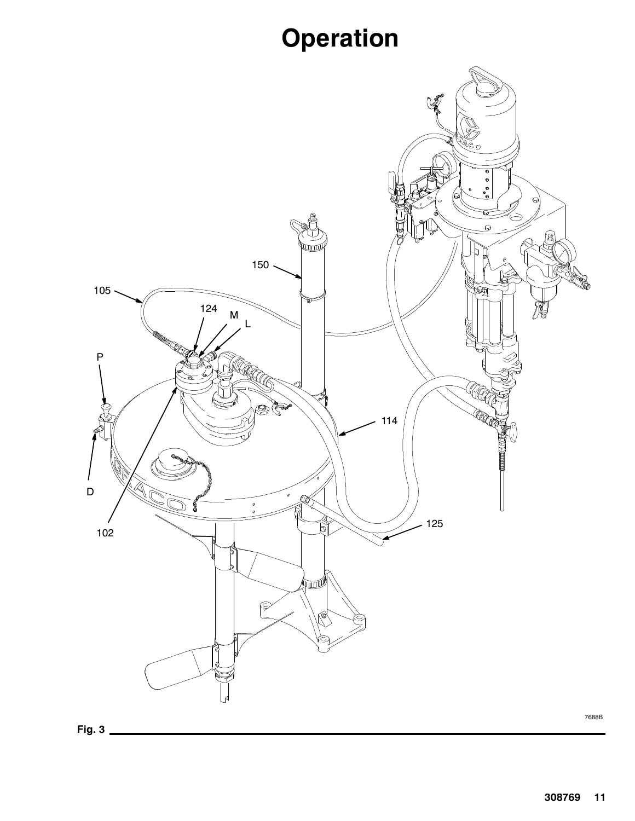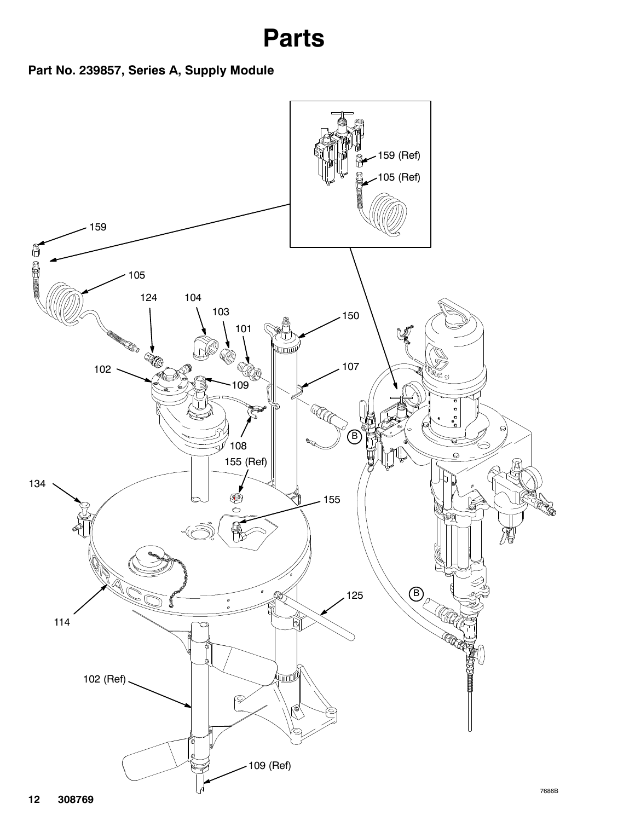## **Parts**

### **Part No. 239857, Series A, Supply Module**

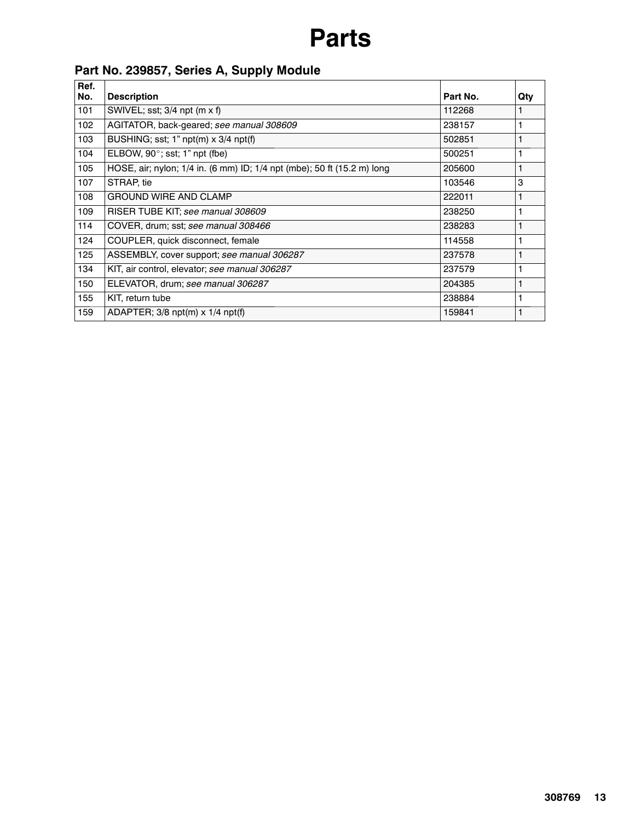## **Parts**

### **Part No. 239857, Series A, Supply Module**

| Ref.<br>No. | <b>Description</b>                                                      | Part No. | Qty |
|-------------|-------------------------------------------------------------------------|----------|-----|
| 101         | SWIVEL; sst; $3/4$ npt (m x f)                                          | 112268   |     |
| 102         | AGITATOR, back-geared; see manual 308609                                | 238157   |     |
| 103         | BUSHING; sst; 1" $npt(m) \times 3/4$ $npt(f)$                           | 502851   |     |
| 104         | ELBOW, $90^\circ$ ; sst; 1" npt (fbe)                                   | 500251   |     |
| 105         | HOSE, air; nylon; 1/4 in. (6 mm) ID; 1/4 npt (mbe); 50 ft (15.2 m) long | 205600   |     |
| 107         | STRAP, tie                                                              | 103546   | 3   |
| 108         | <b>GROUND WIRE AND CLAMP</b>                                            | 222011   |     |
| 109         | RISER TUBE KIT; see manual 308609                                       | 238250   |     |
| 114         | COVER, drum; sst; see manual 308466                                     | 238283   |     |
| 124         | COUPLER, quick disconnect, female                                       | 114558   |     |
| 125         | ASSEMBLY, cover support; see manual 306287                              | 237578   |     |
| 134         | KIT, air control, elevator; see manual 306287                           | 237579   |     |
| 150         | ELEVATOR, drum; see manual 306287                                       | 204385   |     |
| 155         | KIT, return tube                                                        | 238884   | 1   |
| 159         | ADAPTER; 3/8 npt(m) x 1/4 npt(f)                                        | 159841   |     |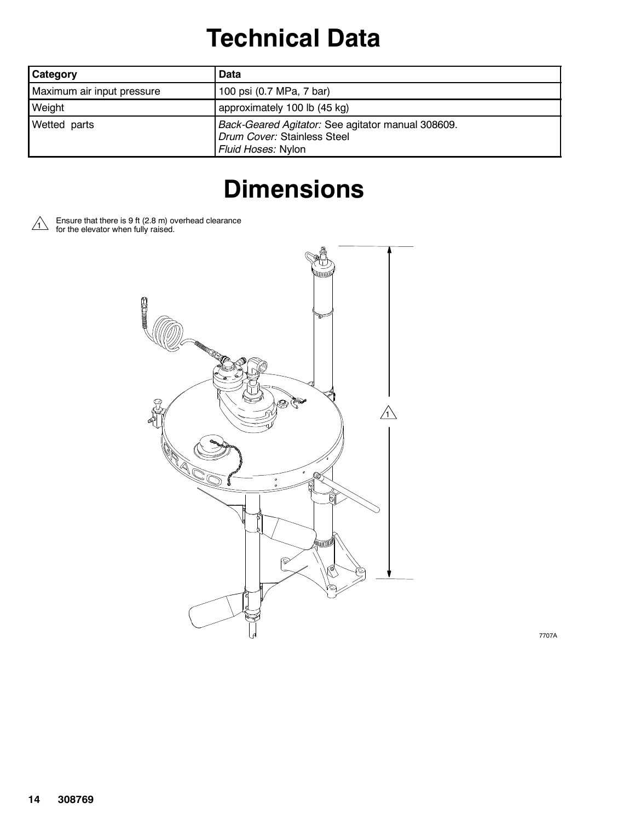## **Technical Data**

| <b>Category</b>            | Data                                                                                                   |
|----------------------------|--------------------------------------------------------------------------------------------------------|
| Maximum air input pressure | 100 psi (0.7 MPa, 7 bar)                                                                               |
| Weight                     | approximately 100 lb (45 kg)                                                                           |
| Wetted parts               | Back-Geared Agitator: See agitator manual 308609.<br>Drum Cover: Stainless Steel<br>Fluid Hoses: Nylon |

## **Dimensions**





7707A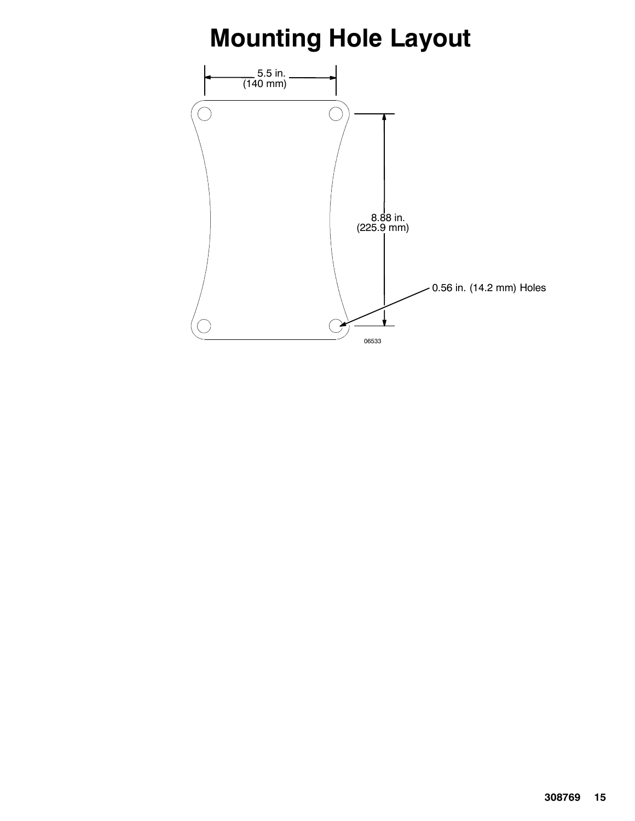## **Mounting Hole Layout**